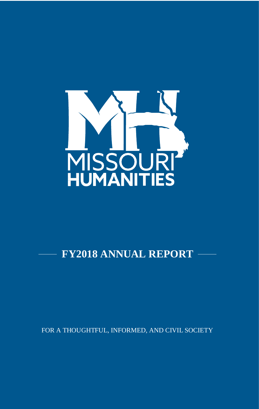

## **FY2018 ANNUAL REPORT**

FOR A THOUGHTFUL, INFORMED, AND CIVIL SOCIETY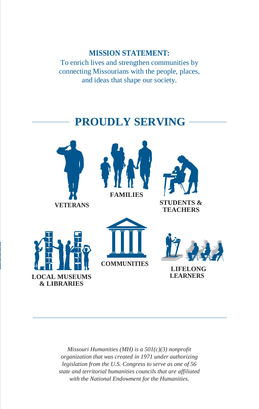## **MISSION STATEMENT:**

To enrich lives and strengthen communities by connecting Missourians with the people, places, and ideas that shape our society.

## **PROUDLY SERVING**













**LIFELONG LEARNERS**

*Missouri Humanities (MH) is a 501(c)(3) nonprofit organization that was created in 1971 under authorizing legislation from the U.S. Congress to serve as one of 56 state and territorial humanities councils that are affiliated with the National Endowment for the Humanities.*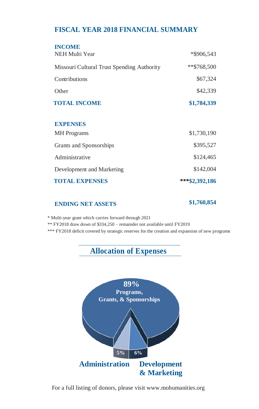## **FISCAL YEAR 2018 FINANCIAL SUMMARY**

| <b>INCOME</b><br>NEH Multi Year            | *\$906,543      |
|--------------------------------------------|-----------------|
| Missouri Cultural Trust Spending Authority | $*$ \$768,500   |
| Contributions                              | \$67,324        |
| Other                                      | \$42,339        |
| <b>TOTAL INCOME</b>                        | \$1,784,339     |
|                                            |                 |
| <b>EXPENSES</b>                            |                 |
| <b>MH</b> Programs                         | \$1,730,190     |
| Grants and Sponsorships                    | \$395,527       |
| Administrative                             | \$124,465       |
| Development and Marketing                  | \$142,004       |
| <b>TOTAL EXPENSES</b>                      | *** \$2,392,186 |

## **ENDING NET ASSETS \$1,760,854**

\* Multi-year grant which carries forward through 2021

\*\* FY2018 draw down of \$334,250 – remainder not available until FY2019

\*\*\* FY2018 deficit covered by strategic reserves for the creation and expansion of new programs

## **Allocation of Expenses**



For a full listing of donors, please vi[sit www.mohumanities.org](http://www.mohumanities.org/)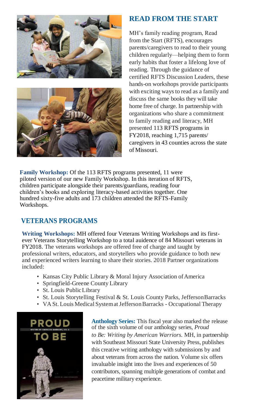



## **READ FROM THE START**

MH's family reading program, Read from the Start (RFTS), encourages parents/caregivers to read to their young children regularly—helping them to form early habits that foster a lifelong love of reading. Through the guidance of certified RFTS Discussion Leaders, these hands-on workshops provide participants with exciting ways to read as a family and discuss the same books they will take home free of charge. In partnership with organizations who share a commitment to family reading and literacy, MH presented 113 RFTS programs in FY2018, reaching 1,715 parents/ caregivers in 43 counties across the state of Missouri.

**Family Workshop:** Of the 113 RFTS programs presented, 11 were piloted version of our new Family Workshop. In this iteration of RFTS, children participate alongside their parents/guardians, reading four children's books and exploring literacy-based activities together. One hundred sixty-five adults and 173 children attended the RFTS-Family Workshops.

## **VETERANS PROGRAMS**

**Writing Workshops:** MH offered four Veterans Writing Workshops and its firstever Veterans Storytelling Workshop to a total auidence of 84 Missouri veterans in FY2018. The veterans workshops are offered free of charge and taught by professional writers, educators, and storytellers who provide guidance to both new and experienced writers learning to share their stories. 2018 Partner organizations included:

- Kansas City Public Library & Moral Injury Association of America
- Springfield-Greene County Library
- St. Louis PublicLibrary
- St. Louis Storytelling Festival & St. Louis County Parks, JeffersonBarracks
- VA St. Louis Medical System at Jefferson Barracks Occupational Therapy



**Anthology Series:** This fiscal year also marked the release of the sixth volume of our anthology series, *Proud to Be: Writing by American Warriors.* MH, in partnership with Southeast Missouri State University Press, publishes this creative writing anthology with submissions by and about veterans from across the nation. Volume six offers invaluable insight into the lives and experiences of 50 contributors, spanning multiple generations of combat and peacetime military experience.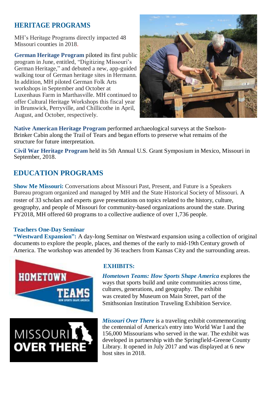## **HERITAGE PROGRAMS**

MH's Heritage Programs directly impacted 48 Missouri counties in 2018.

**German Heritage Program** piloted its first public program in June, entitled, "Digitizing Missouri's German Heritage," and debuted a new, app-guided walking tour of German heritage sites in Hermann. In addition, MH piloted German Folk Arts workshops in September and October at Luxenhaus Farm in Marthasville. MH continued to offer Cultural Heritage Workshops this fiscal year in Brunswick, Perryville, and Chillicothe in April, August, and October, respectively.



**Native American Heritage Program** performed archaeological surveys at the Snelson-Brinker Cabin along the Trail of Tears and began efforts to preserve what remains of the structure for future interpretation.

**Civil War Heritage Program** held its 5th Annual U.S. Grant Symposium in Mexico, Missouri in September, 2018.

## **EDUCATION PROGRAMS**

**Show Me Missouri:** Conversations about Missouri Past, Present, and Future is a Speakers Bureau program organized and managed by MH and the State Historical Society of Missouri. A roster of 33 scholars and experts gave presentations on topics related to the history, culture, geography, and people of Missouri for community-based organizations around the state. During FY2018, MH offered 60 programs to a collective audience of over 1,736 people.

### **Teachers One-Day Seminar**

**"Westward Expansion":** A day-long Seminar on Westward expansion using a collection of original documents to explore the people, places, and themes of the early to mid-19th Century growth of America. The workshop was attended by 36 teachers from Kansas City and the surrounding areas.





### **EXHIBITS:**

*Hometown Teams: How Sports Shape America* explores the ways that sports build and unite communities across time, cultures, generations, and geography. The exhibit was created by Museum on Main Street, part of the Smithsonian Institution Traveling Exhibition Service.

*Missouri Over There* is a traveling exhibit commemorating the centennial of America's entry into World War I and the 156,000 Missourians who served in the war. The exhibit was developed in partnership with the Springfield-Greene County Library. It opened in July 2017 and was displayed at 6 new host sites in 2018.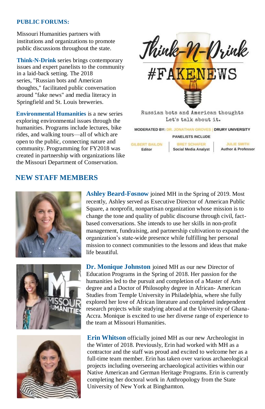### **PUBLIC FORUMS:**

Missouri Humanities partners with institutions and organizations to promote public discussions throughout the state.

**Think-N-Drink** series brings contemporary issues and expert panelists to the community in a laid-back setting. The 2018 series, "Russian bots and American thoughts," facilitated public conversation around "fake news" and media literacy in Springfield and St. Louis breweries.

**Environmental Humanities** is a new series exploring environmental issues through the humanities. Programs include lectures, bike rides, and walking tours—all of which are open to the public, connecting nature and community. Programming for FY2018 was created in partnership with organizations like the Missouri Department of Conservation.



Let's talk about it.

**MODERATED BY: DR. JONATHAN GROVES | DRURY UNIVERSITY** 

**PANELISTS INCLUDE** 

**GILBERT BAILON BRET SCHAFER** Social Media Analyst Editor

**JULIE SMITH Author & Professor** 

## **NEW STAFF MEMBERS**







**Ashley Beard-Fosnow** joined MH in the Spring of 2019. Most recently, Ashley served as Executive Director of American Public Square, a nonprofit, nonpartisan organization whose mission is to change the tone and quality of public discourse through civil, factbased conversations. She intends to use her skills in non-profit management, fundraising, and partnership cultivation to expand the organization's state-wide presence while fulfilling her personal mission to connect communities to the lessons and ideas that make life beautiful.

**Dr. Monique Johnston** joined MH as our new Director of Education Programs in the Spring of 2018. Her passion for the humanities led to the pursuit and completion of a Master of Arts degree and a Doctor of Philosophy degree in African- American Studies from Temple University in Philadelphia, where she fully explored her love of African literature and completed independent research projects while studying abroad at the University of Ghana-Accra. Monique is excited to use her diverse range of experience to the team at Missouri Humanities.

**Erin Whitson** officially joined MH as our new Archeologist in the Winter of 2018. Previously, Erin had worked with MH as a contractor and the staff was proud and excited to welcome her as a full-time team member. Erin has taken over various archaeological projects including overseeing archaeological activities within our Native American and German Heritage Programs. Erin is currently completing her doctoral work in Anthropology from the State University of New York at Binghamton.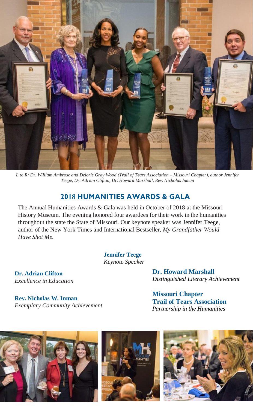

*L to R: Dr. William Ambrose and Deloris Gray Wood (Trail of Tears Association – Missouri Chapter), author Jennifer Teege, Dr. Adrian Clifton, Dr. Howard Marshall, Rev. Nicholas Inman*

## **2018 HUMANITIES AWARDS & GALA**

The Annual Humanities Awards & Gala was held in October of 2018 at the Missouri History Museum. The evening honored four awardees for their work in the humanities throughout the state the State of Missouri. Our keynote speaker was Jennifer Teege, author of the New York Times and International Bestseller, *My Grandfather Would Have Shot Me.*

> **Jennifer Teege** *Keynote Speaker*

**Dr. Adrian Clifton** *Excellence in Education*

**Rev. Nicholas W. Inman** *Exemplary Community Achievement* **Dr. Howard Marshall** *Distinguished Literary Achievement*

**Missouri Chapter Trail of Tears Association** *Partnership in the Humanities*





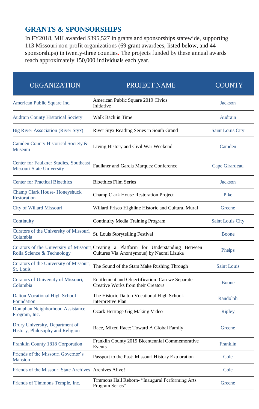## **GRANTS & SPONSORSHIPS**

In FY2018, MH awarded \$395,527 in grants and sponsorships statewide, supporting 113 Missouri non-profit organizations (69 grant awardees, listed below, and 44 sponsorships) in twenty-three counties. The projects funded by these annual awards reach approximately 150,000 individuals each year.

| <b>ORGANIZATION</b>                                                 | <b>PROJECT NAME</b>                                                                                                               | <b>COUNTY</b>           |
|---------------------------------------------------------------------|-----------------------------------------------------------------------------------------------------------------------------------|-------------------------|
| American Public Square Inc.                                         | American Public Square 2019 Civics<br>Initiative                                                                                  | Jackson                 |
| <b>Audrain County Historical Society</b>                            | Walk Back in Time                                                                                                                 | Audrain                 |
| Big River Association (River Styx)                                  | River Styx Reading Series in South Grand                                                                                          | <b>Saint Louis City</b> |
| Camden County Historical Society &<br>Museum                        | Living History and Civil War Weekend                                                                                              | Camden                  |
| Center for Faulkner Studies, Southeast<br>Missouri State University | Faulkner and Garcia Marquez Conference                                                                                            | Cape Girardeau          |
| <b>Center for Practical Bioethics</b>                               | <b>Bioethics Film Series</b>                                                                                                      | <b>Jackson</b>          |
| Champ Clark House-Honeyshuck<br><b>Restoration</b>                  | Champ Clark House Restoration Project                                                                                             | <b>Pike</b>             |
| City of Willard Missouri                                            | Willard Frisco Highline Historic and Cultural Mural                                                                               | Greene                  |
| Continuity                                                          | Continuity Media Training Program                                                                                                 | <b>Saint Louis City</b> |
| Curators of the University of Missouri,<br>Columbia                 | St. Louis Storytelling Festival                                                                                                   | Boone                   |
| Rolla Science & Technology                                          | Curators of the University of Missouri, Creating a Platform for Understanding Between<br>Cultures Via Anon(ymous) by Naomi Lizuka | Phelps                  |
| Curators of the University of Missouri,<br>St. Louis                | The Sound of the Stars Make Rushing Through                                                                                       | Saint Louis             |
| Curators of University of Missouri,<br>Columbia                     | Entitlement and Objectification: Can we Separate<br>Creative Works from their Creators                                            | Boone                   |
| <b>Dalton Vocational High School</b><br>Foundation                  | The Historic Dalton Vocational High School-<br>Interpretive Plan                                                                  | Randolph                |
| Doniphan Neighborhood Assistance<br>Program, Inc.                   | Ozark Heritage Gig Making Video                                                                                                   | <b>Ripley</b>           |
| Drury University, Department of<br>History, Philosophy and Religion | Race, Mixed Race: Toward A Global Family                                                                                          | Greene                  |
| Franklin County 1818 Corporation                                    | Franklin County 2019 Bicentennial Commemorative<br>Events                                                                         | Franklin                |
| Friends of the Missouri Governor's<br><b>Mansion</b>                | Passport to the Past: Missouri History Exploration                                                                                | Cole                    |
| Friends of the Missouri State Archives Archives Alive!              |                                                                                                                                   | Cole                    |
| Friends of Timmons Temple, Inc.                                     | Timmons Hall Reborn- "Inaugural Performing Arts<br>Program Series"                                                                | Greene                  |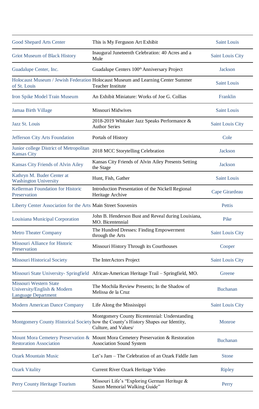| Good Shepard Arts Center                                                            | This is My Ferguson Art Exhibit                                                                                                                             | Saint Louis             |
|-------------------------------------------------------------------------------------|-------------------------------------------------------------------------------------------------------------------------------------------------------------|-------------------------|
| Griot Museum of Black History                                                       | Inaugural Juneteenth Celebration: 40 Acres and a<br>Mule                                                                                                    | <b>Saint Louis City</b> |
| Guadalupe Center, Inc.                                                              | Guadalupe Centers 100 <sup>th</sup> Anniversary Project                                                                                                     | Jackson                 |
| of St. Louis                                                                        | Holocaust Museum / Jewish Federation Holocaust Museum and Learning Center Summer<br><b>Teacher Institute</b>                                                | Saint Louis             |
| Iron Spike Model Train Museum                                                       | An Exhibit Miniature: Works of Joe G. Collias                                                                                                               | Franklin                |
| Jamaa Birth Village                                                                 | Missouri Midwives                                                                                                                                           | <b>Saint Louis</b>      |
| Jazz St. Louis                                                                      | 2018-2019 Whitaker Jazz Speaks Performance &<br><b>Author Series</b>                                                                                        | <b>Saint Louis City</b> |
| Jefferson City Arts Foundation                                                      | Portals of History                                                                                                                                          | Cole                    |
| Junior college District of Metropolitan<br>Kansas City                              | 2018 MCC Storytelling Celebration                                                                                                                           | <b>Jackson</b>          |
| Kansas City Friends of Alvin Ailey                                                  | Kansas City Friends of Alvin Ailey Presents Setting<br>the Stage                                                                                            | <b>Jackson</b>          |
| Kathryn M. Buder Center at<br><b>Washington University</b>                          | Hunt, Fish, Gather                                                                                                                                          | Saint Louis             |
| Kellerman Foundation for Historic<br>Preservation                                   | Introduction Presentation of the Nickell Regional<br>Heritage Archive                                                                                       | Cape Girardeau          |
| Liberty Center Association for the Arts Main Street Souvenirs                       |                                                                                                                                                             | Pettis                  |
| Louisiana Municipal Corporation                                                     | John B. Henderson Bust and Reveal during Louisiana,<br>MO. Bicentennial                                                                                     | Pike                    |
| <b>Metro Theater Company</b>                                                        | The Hundred Dresses: Finding Empowerment<br>through the Arts                                                                                                | <b>Saint Louis City</b> |
| Missouri Alliance for Historic<br>Preservation                                      | Missouri History Through its Courthouses                                                                                                                    | Cooper                  |
| <b>Missouri Historical Society</b>                                                  | The InterActors Project                                                                                                                                     | <b>Saint Louis City</b> |
|                                                                                     | Missouri State University- Springfield African-American Heritage Trail – Springfield, MO.                                                                   | Greene                  |
| Missouri Western State<br>University/English & Modern<br><b>Language Department</b> | The Mochila Review Presents; In the Shadow of<br>Melissa de la Cruz                                                                                         | <b>Buchanan</b>         |
| Modern American Dance Company                                                       | Life Along the Mississippi                                                                                                                                  | <b>Saint Louis City</b> |
|                                                                                     | Montgomery County Bicentennial: Understanding<br>Montgomery County Historical Society how the County's History Shapes our Identity,<br>Culture, and Values/ | Monroe                  |
| <b>Restoration Association</b>                                                      | Mount Mora Cemetery Preservation & Mount Mora Cemetery Preservation & Restoration<br><b>Association Sound System</b>                                        | <b>Buchanan</b>         |
| <b>Ozark Mountain Music</b>                                                         | Let's Jam - The Celebration of an Ozark Fiddle Jam                                                                                                          | <b>Stone</b>            |
| <b>Ozark Vitality</b>                                                               | Current River Ozark Heritage Video                                                                                                                          | <b>Ripley</b>           |
| Perry County Heritage Tourism                                                       | Missouri Life's "Exploring German Heritage &<br>Saxon Memorial Walking Guide"                                                                               | Perry                   |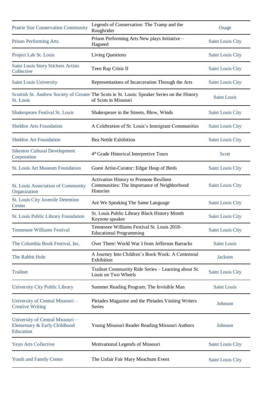| Prairie Star Conservation Community                                          | Legends of Conservation: The Tramp and the<br>Roughrider                                                             | Osage                   |
|------------------------------------------------------------------------------|----------------------------------------------------------------------------------------------------------------------|-------------------------|
| <b>Prison Performing Arts</b>                                                | Prison Performing Arts New plays Initiative -<br>Hagseed                                                             | Saint Louis City        |
| Project Lab St. Louis                                                        | <b>Living Questions</b>                                                                                              | <b>Saint Louis City</b> |
| Saint Louis Story Stichers Artists<br>Collective                             | Teen Rap Crisis II                                                                                                   | Saint Louis City        |
| Saint Louis University                                                       | Representations of Incarceration Through the Arts                                                                    | <b>Saint Louis City</b> |
| St. Louis                                                                    | Scottish St. Andrew Society of Greater The Scots in St. Louis: Speaker Series on the History<br>of Scots in Missouri | <b>Saint Louis</b>      |
| Shakespeare Festival St. Louis                                               | Shakespeare in the Streets, Blow, Winds                                                                              | <b>Saint Louis City</b> |
| <b>Sheldon Arts Foundation</b>                                               | A Celebration of St. Louis's Immigrant Communities                                                                   | <b>Saint Louis City</b> |
| <b>Sheldon Art Foundation</b>                                                | <b>Bea Nettle Exhibition</b>                                                                                         | <b>Saint Louis City</b> |
| <b>Sikeston Cultural Development</b><br>Corporation                          | 4 <sup>th</sup> Grade Historical Interpretive Tours                                                                  | Scott                   |
| <b>St. Louis Art Museum Foundation</b>                                       | Guest Artist-Curator: Edgar Heap of Birds                                                                            | <b>Saint Louis City</b> |
| St. Louis Association of Community<br>Organization                           | <b>Activation History to Promote Resilient</b><br>Communities: The Importance of Neighborhood<br><b>Histories</b>    | <b>Saint Louis City</b> |
| St. Louis City Juvenile Detention<br>Center                                  | Are We Speaking The Same Language                                                                                    | <b>Saint Louis City</b> |
| <b>St. Louis Public Library Foundation</b>                                   | St. Louis Public Library Black History Month<br>Keynote speaker                                                      | <b>Saint Louis City</b> |
| <b>Tennessee Williams Festival</b>                                           | Tennessee Williams Festival St. Louis 2018-<br><b>Educational Programming</b>                                        | <b>Saint Louis City</b> |
| The Columbia Book Festival, Inc.                                             | Over There: World War I from Jefferson Barracks                                                                      | Saint Louis             |
| The Rabbit Hole                                                              | A Journey Into Children's Book Week: A Centennial<br>Exhibition                                                      | <b>Jackson</b>          |
| Trailnet                                                                     | Trailnet Community Ride Series - Learning about St.<br>Louis on Two Wheels                                           | <b>Saint Louis City</b> |
| University City Public Library                                               | Summer Reading Program: The Invisible Man                                                                            | Saint Louis             |
| University of Central Missouri -<br><b>Creative Writing</b>                  | Pleiades Magazine and the Pleiades Visiting Writers<br>Series                                                        | Johnson                 |
| University of Central Missouri-<br>Elementary & Early Childhood<br>Education | Young Missouri Reader Reading Missouri Authors                                                                       | Johnson                 |
| Yeyo Arts Collective                                                         | Motivational Legends of Missouri                                                                                     | <b>Saint Louis City</b> |
| Youth and Family Center                                                      | The Unfair Fair Mary Meachum Event                                                                                   | <b>Saint Louis City</b> |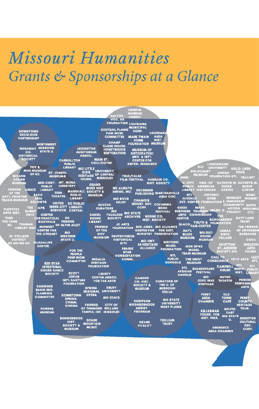# Missouri Humanities Grants & Sponsorships at a Glance